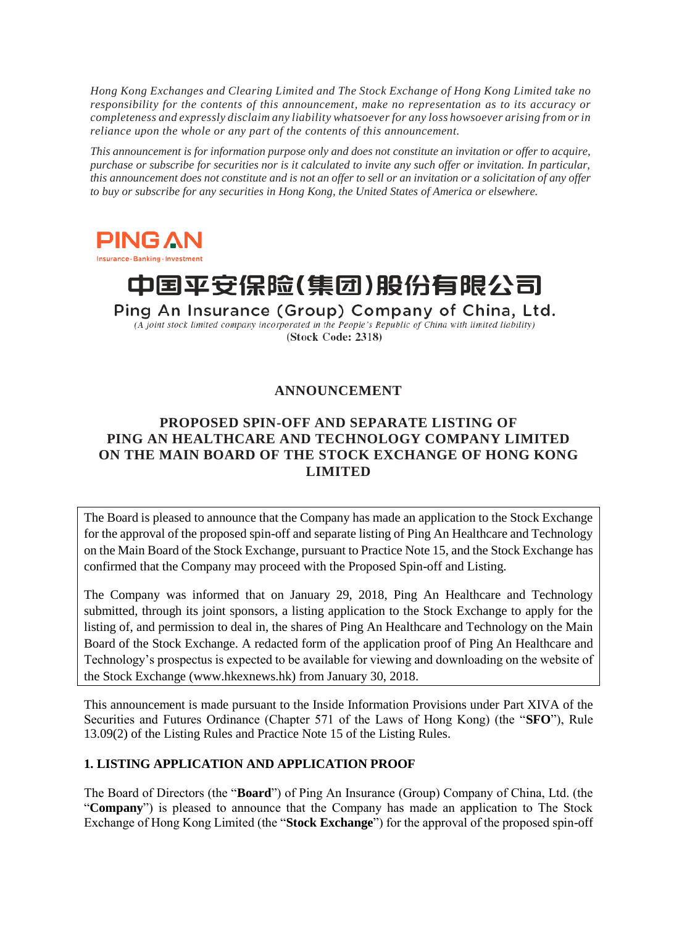*Hong Kong Exchanges and Clearing Limited and The Stock Exchange of Hong Kong Limited take no responsibility for the contents of this announcement, make no representation as to its accuracy or completeness and expressly disclaim any liability whatsoever for any loss howsoever arising from or in reliance upon the whole or any part of the contents of this announcement.*

*This announcement is for information purpose only and does not constitute an invitation or offer to acquire, purchase or subscribe for securities nor is it calculated to invite any such offer or invitation. In particular, this announcement does not constitute and is not an offer to sell or an invitation or a solicitation of any offer to buy or subscribe for any securities in Hong Kong, the United States of America or elsewhere.*



Insurance - Banking - Investment

# 中国平安保险(集团)股份有限公司

Ping An Insurance (Group) Company of China, Ltd. (A joint stock limited company incorporated in the People's Republic of China with limited liability) (Stock Code: 2318)

# **ANNOUNCEMENT**

## **PROPOSED SPIN-OFF AND SEPARATE LISTING OF PING AN HEALTHCARE AND TECHNOLOGY COMPANY LIMITED ON THE MAIN BOARD OF THE STOCK EXCHANGE OF HONG KONG LIMITED**

The Board is pleased to announce that the Company has made an application to the Stock Exchange for the approval of the proposed spin-off and separate listing of Ping An Healthcare and Technology on the Main Board of the Stock Exchange, pursuant to Practice Note 15, and the Stock Exchange has confirmed that the Company may proceed with the Proposed Spin-off and Listing.

The Company was informed that on January 29, 2018, Ping An Healthcare and Technology submitted, through its joint sponsors, a listing application to the Stock Exchange to apply for the listing of, and permission to deal in, the shares of Ping An Healthcare and Technology on the Main Board of the Stock Exchange. A redacted form of the application proof of Ping An Healthcare and Technology's prospectus is expected to be available for viewing and downloading on the website of the Stock Exchange (www.hkexnews.hk) from January 30, 2018.

This announcement is made pursuant to the Inside Information Provisions under Part XIVA of the Securities and Futures Ordinance (Chapter 571 of the Laws of Hong Kong) (the "**SFO**"), Rule 13.09(2) of the Listing Rules and Practice Note 15 of the Listing Rules.

### **1. LISTING APPLICATION AND APPLICATION PROOF**

The Board of Directors (the "**Board**") of Ping An Insurance (Group) Company of China, Ltd. (the "**Company**") is pleased to announce that the Company has made an application to The Stock Exchange of Hong Kong Limited (the "**Stock Exchange**") for the approval of the proposed spin-off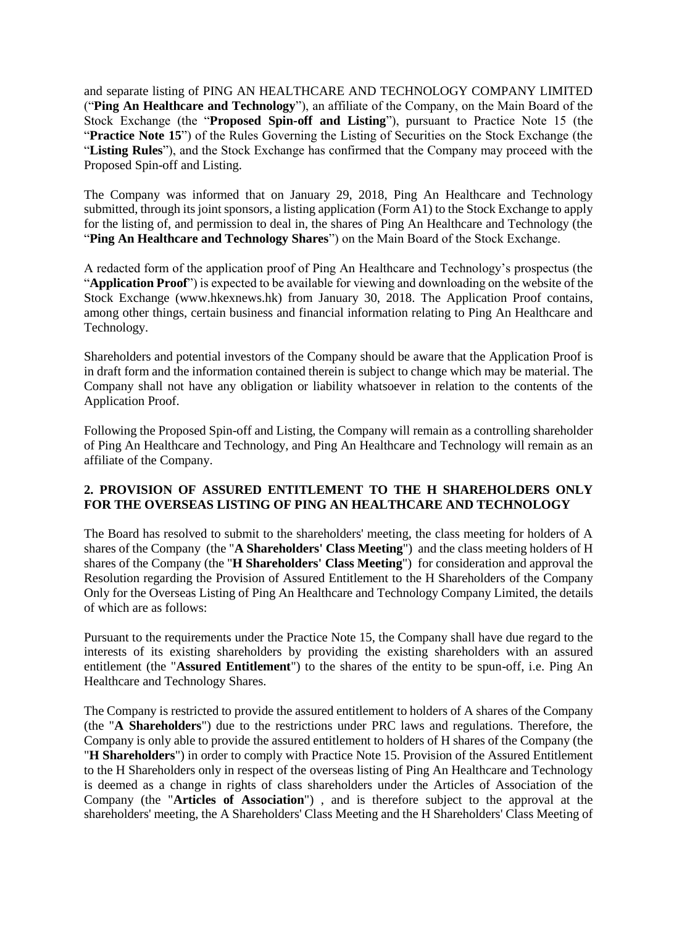and separate listing of PING AN HEALTHCARE AND TECHNOLOGY COMPANY LIMITED ("**Ping An Healthcare and Technology**"), an affiliate of the Company, on the Main Board of the Stock Exchange (the "**Proposed Spin-off and Listing**"), pursuant to Practice Note 15 (the "**Practice Note 15**") of the Rules Governing the Listing of Securities on the Stock Exchange (the "**Listing Rules**"), and the Stock Exchange has confirmed that the Company may proceed with the Proposed Spin-off and Listing.

The Company was informed that on January 29, 2018, Ping An Healthcare and Technology submitted, through its joint sponsors, a listing application (Form A1) to the Stock Exchange to apply for the listing of, and permission to deal in, the shares of Ping An Healthcare and Technology (the "**Ping An Healthcare and Technology Shares**") on the Main Board of the Stock Exchange.

A redacted form of the application proof of Ping An Healthcare and Technology's prospectus (the "**Application Proof**") is expected to be available for viewing and downloading on the website of the Stock Exchange (www.hkexnews.hk) from January 30, 2018. The Application Proof contains, among other things, certain business and financial information relating to Ping An Healthcare and Technology.

Shareholders and potential investors of the Company should be aware that the Application Proof is in draft form and the information contained therein is subject to change which may be material. The Company shall not have any obligation or liability whatsoever in relation to the contents of the Application Proof.

Following the Proposed Spin-off and Listing, the Company will remain as a controlling shareholder of Ping An Healthcare and Technology, and Ping An Healthcare and Technology will remain as an affiliate of the Company.

#### **2. PROVISION OF ASSURED ENTITLEMENT TO THE H SHAREHOLDERS ONLY FOR THE OVERSEAS LISTING OF PING AN HEALTHCARE AND TECHNOLOGY**

The Board has resolved to submit to the shareholders' meeting, the class meeting for holders of A shares of the Company (the "**A Shareholders' Class Meeting**") and the class meeting holders of H shares of the Company (the "**H Shareholders' Class Meeting**") for consideration and approval the Resolution regarding the Provision of Assured Entitlement to the H Shareholders of the Company Only for the Overseas Listing of Ping An Healthcare and Technology Company Limited, the details of which are as follows:

Pursuant to the requirements under the Practice Note 15, the Company shall have due regard to the interests of its existing shareholders by providing the existing shareholders with an assured entitlement (the "**Assured Entitlement**") to the shares of the entity to be spun-off, i.e. Ping An Healthcare and Technology Shares.

The Company is restricted to provide the assured entitlement to holders of A shares of the Company (the "**A Shareholders**") due to the restrictions under PRC laws and regulations. Therefore, the Company is only able to provide the assured entitlement to holders of H shares of the Company (the "**H Shareholders**") in order to comply with Practice Note 15. Provision of the Assured Entitlement to the H Shareholders only in respect of the overseas listing of Ping An Healthcare and Technology is deemed as a change in rights of class shareholders under the Articles of Association of the Company (the "**Articles of Association**") , and is therefore subject to the approval at the shareholders' meeting, the A Shareholders' Class Meeting and the H Shareholders' Class Meeting of